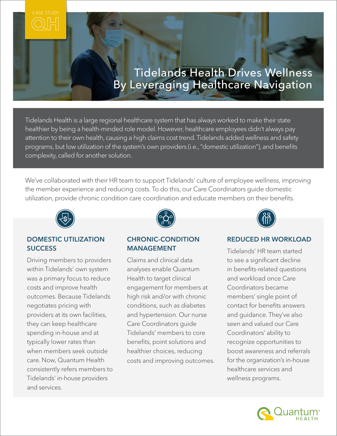# Tidelands Health Drives Wellness By Leveraging Healthcare Navigation

Tidelands Health is a large regional healthcare system that has always worked to make their state healthier by being a health-minded role model. However, healthcare employees didn't always pay attention to their own health, causing a high claims cost trend. Tidelands added wellness and safety programs, but low utilization of the system's own providers (i.e., "domestic utilization"), and benefits complexity, called for another solution.

We've collaborated with their HR team to support Tidelands' culture of employee wellness, improving the member experience and reducing costs. To do this, our Care Coordinators guide domestic utilization, provide chronic condition care coordination and educate members on their benefits.



## DOMESTIC UTILIZATION **SUCCESS**

Driving members to providers within Tidelands' own system was a primary focus to reduce costs and improve health outcomes. Because Tidelands negotiates pricing with providers at its own facilities, they can keep healthcare spending in-house and at typically lower rates than when members seek outside care. Now, Quantum Health consistently refers members to Tidelands' in-house providers and services.



## CHRONIC-CONDITION MANAGEMENT

Claims and clinical data analyses enable Quantum Health to target clinical engagement for members at high risk and/or with chronic conditions, such as diabetes and hypertension. Our nurse Care Coordinators guide Tidelands' members to core benefits, point solutions and healthier choices, reducing costs and improving outcomes.



## REDUCED HR WORKLOAD

Tidelands' HR team started to see a significant decline in benefits-related questions and workload once Care Coordinators became members' single point of contact for benefits answers and guidance. They've also seen and valued our Care Coordinators' ability to recognize opportunities to boost awareness and referrals for the organization's in-house healthcare services and wellness programs.